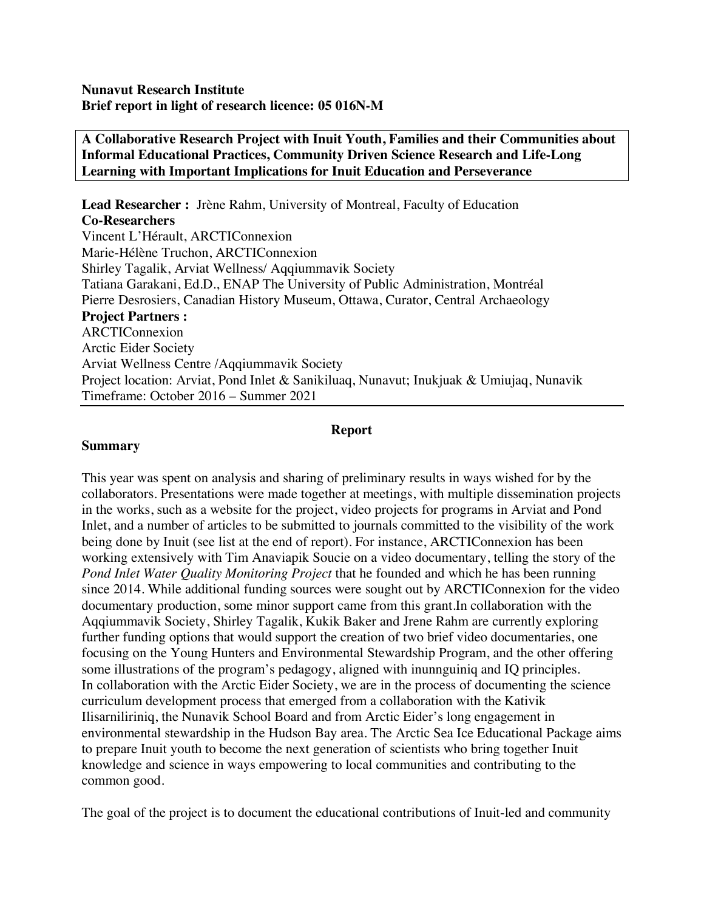**A Collaborative Research Project with Inuit Youth, Families and their Communities about Informal Educational Practices, Community Driven Science Research and Life-Long Learning with Important Implications for Inuit Education and Perseverance**

**Lead Researcher :** Jrène Rahm, University of Montreal, Faculty of Education **Co-Researchers**  Vincent L'Hérault, ARCTIConnexion Marie-Hélène Truchon, ARCTIConnexion Shirley Tagalik, Arviat Wellness/ Aqqiummavik Society Tatiana Garakani, Ed.D., ENAP The University of Public Administration, Montréal Pierre Desrosiers, Canadian History Museum, Ottawa, Curator, Central Archaeology **Project Partners :** ARCTIConnexion Arctic Eider Society Arviat Wellness Centre /Aqqiummavik Society Project location: Arviat, Pond Inlet & Sanikiluaq, Nunavut; Inukjuak & Umiujaq, Nunavik Timeframe: October 2016 – Summer 2021

#### **Report**

#### **Summary**

This year was spent on analysis and sharing of preliminary results in ways wished for by the collaborators. Presentations were made together at meetings, with multiple dissemination projects in the works, such as a website for the project, video projects for programs in Arviat and Pond Inlet, and a number of articles to be submitted to journals committed to the visibility of the work being done by Inuit (see list at the end of report). For instance, ARCTIConnexion has been working extensively with Tim Anaviapik Soucie on a video documentary, telling the story of the *Pond Inlet Water Quality Monitoring Project* that he founded and which he has been running since 2014. While additional funding sources were sought out by ARCTIConnexion for the video documentary production, some minor support came from this grant.In collaboration with the Aqqiummavik Society, Shirley Tagalik, Kukik Baker and Jrene Rahm are currently exploring further funding options that would support the creation of two brief video documentaries, one focusing on the Young Hunters and Environmental Stewardship Program, and the other offering some illustrations of the program's pedagogy, aligned with inunnguiniq and IQ principles. In collaboration with the Arctic Eider Society, we are in the process of documenting the science curriculum development process that emerged from a collaboration with the Kativik Ilisarniliriniq, the Nunavik School Board and from Arctic Eider's long engagement in environmental stewardship in the Hudson Bay area. The Arctic Sea Ice Educational Package aims to prepare Inuit youth to become the next generation of scientists who bring together Inuit knowledge and science in ways empowering to local communities and contributing to the common good.

The goal of the project is to document the educational contributions of Inuit-led and community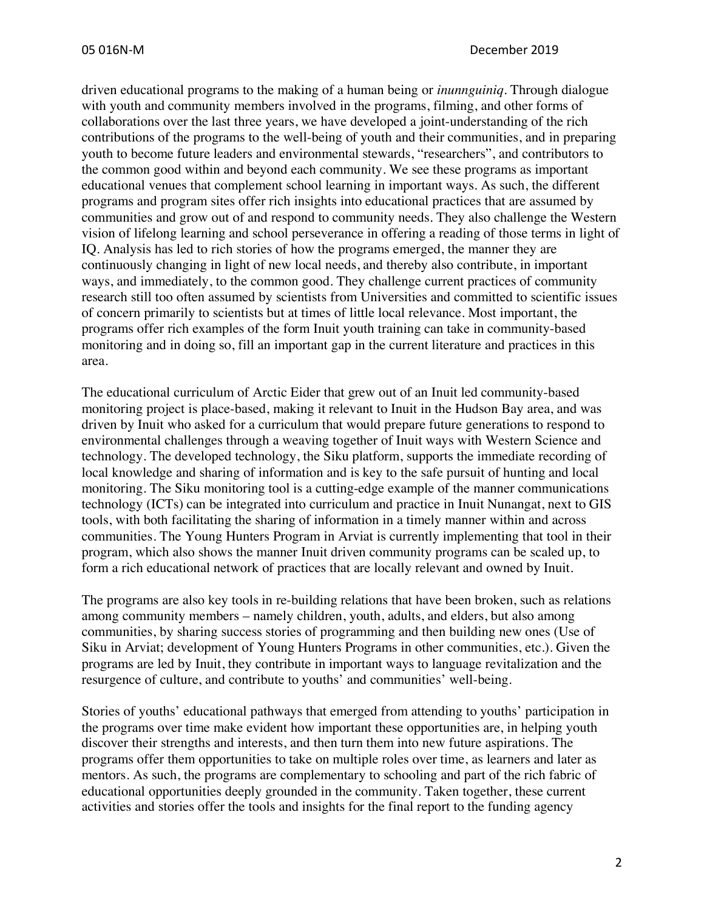driven educational programs to the making of a human being or *inunnguiniq.* Through dialogue with youth and community members involved in the programs, filming, and other forms of collaborations over the last three years, we have developed a joint-understanding of the rich contributions of the programs to the well-being of youth and their communities, and in preparing youth to become future leaders and environmental stewards, "researchers", and contributors to the common good within and beyond each community. We see these programs as important educational venues that complement school learning in important ways. As such, the different programs and program sites offer rich insights into educational practices that are assumed by communities and grow out of and respond to community needs. They also challenge the Western vision of lifelong learning and school perseverance in offering a reading of those terms in light of IQ. Analysis has led to rich stories of how the programs emerged, the manner they are continuously changing in light of new local needs, and thereby also contribute, in important ways, and immediately, to the common good. They challenge current practices of community research still too often assumed by scientists from Universities and committed to scientific issues of concern primarily to scientists but at times of little local relevance. Most important, the programs offer rich examples of the form Inuit youth training can take in community-based monitoring and in doing so, fill an important gap in the current literature and practices in this area.

The educational curriculum of Arctic Eider that grew out of an Inuit led community-based monitoring project is place-based, making it relevant to Inuit in the Hudson Bay area, and was driven by Inuit who asked for a curriculum that would prepare future generations to respond to environmental challenges through a weaving together of Inuit ways with Western Science and technology. The developed technology, the Siku platform, supports the immediate recording of local knowledge and sharing of information and is key to the safe pursuit of hunting and local monitoring. The Siku monitoring tool is a cutting-edge example of the manner communications technology (ICTs) can be integrated into curriculum and practice in Inuit Nunangat, next to GIS tools, with both facilitating the sharing of information in a timely manner within and across communities. The Young Hunters Program in Arviat is currently implementing that tool in their program, which also shows the manner Inuit driven community programs can be scaled up, to form a rich educational network of practices that are locally relevant and owned by Inuit.

The programs are also key tools in re-building relations that have been broken, such as relations among community members – namely children, youth, adults, and elders, but also among communities, by sharing success stories of programming and then building new ones (Use of Siku in Arviat; development of Young Hunters Programs in other communities, etc.). Given the programs are led by Inuit, they contribute in important ways to language revitalization and the resurgence of culture, and contribute to youths' and communities' well-being.

Stories of youths' educational pathways that emerged from attending to youths' participation in the programs over time make evident how important these opportunities are, in helping youth discover their strengths and interests, and then turn them into new future aspirations. The programs offer them opportunities to take on multiple roles over time, as learners and later as mentors. As such, the programs are complementary to schooling and part of the rich fabric of educational opportunities deeply grounded in the community. Taken together, these current activities and stories offer the tools and insights for the final report to the funding agency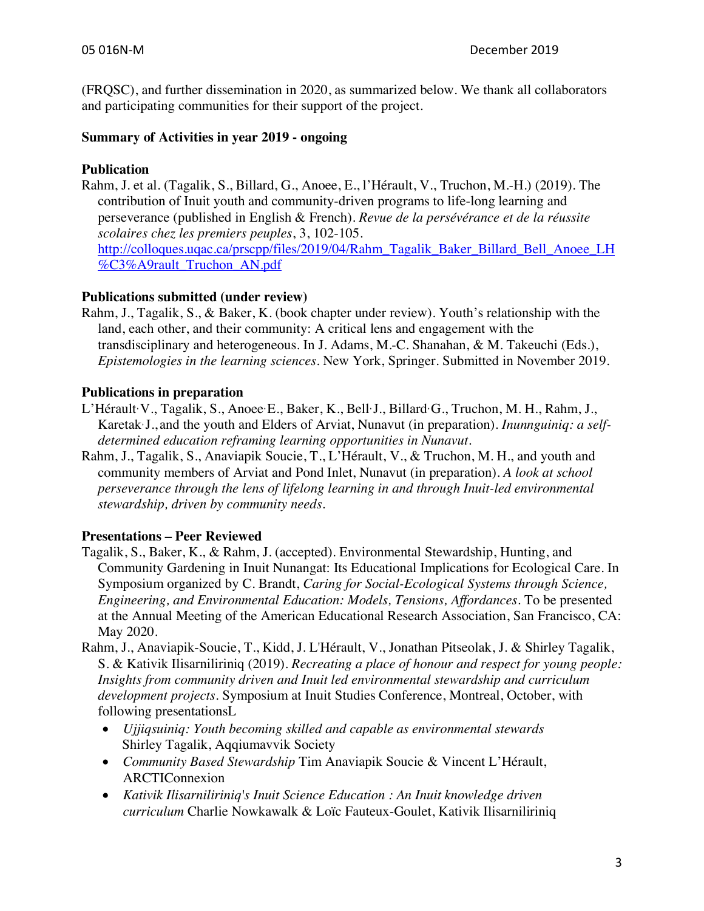(FRQSC), and further dissemination in 2020, as summarized below. We thank all collaborators and participating communities for their support of the project.

## **Summary of Activities in year 2019 - ongoing**

## **Publication**

Rahm, J. et al. (Tagalik, S., Billard, G., Anoee, E., l'Hérault, V., Truchon, M.-H.) (2019). The contribution of Inuit youth and community-driven programs to life-long learning and perseverance (published in English & French). *Revue de la persévérance et de la réussite scolaires chez les premiers peuples*, 3, 102-105. http://colloques.uqac.ca/prscpp/files/2019/04/Rahm\_Tagalik\_Baker\_Billard\_Bell\_Anoee\_LH %C3%A9rault\_Truchon\_AN.pdf

## **Publications submitted (under review)**

Rahm, J., Tagalik, S., & Baker, K. (book chapter under review). Youth's relationship with the land, each other, and their community: A critical lens and engagement with the transdisciplinary and heterogeneous. In J. Adams, M.-C. Shanahan, & M. Takeuchi (Eds.), *Epistemologies in the learning sciences*. New York, Springer. Submitted in November 2019.

## **Publications in preparation**

- L'Hérault, V., Tagalik, S., Anoee, E., Baker, K., Bell, J., Billard, G., Truchon, M. H., Rahm, J., Karetak, J., and the youth and Elders of Arviat, Nunavut (in preparation). *Inunnguiniq: a selfdetermined education reframing learning opportunities in Nunavut.*
- Rahm, J., Tagalik, S., Anaviapik Soucie, T., L'Hérault, V., & Truchon, M. H., and youth and community members of Arviat and Pond Inlet, Nunavut (in preparation). *A look at school perseverance through the lens of lifelong learning in and through Inuit-led environmental stewardship, driven by community needs.*

# **Presentations – Peer Reviewed**

- Tagalik, S., Baker, K., & Rahm, J. (accepted). Environmental Stewardship, Hunting, and Community Gardening in Inuit Nunangat: Its Educational Implications for Ecological Care. In Symposium organized by C. Brandt, *Caring for Social-Ecological Systems through Science, Engineering, and Environmental Education: Models, Tensions, Affordances.* To be presented at the Annual Meeting of the American Educational Research Association, San Francisco, CA: May 2020.
- Rahm, J., Anaviapik-Soucie, T., Kidd, J. L'Hérault, V., Jonathan Pitseolak, J. & Shirley Tagalik, S. & Kativik Ilisarniliriniq (2019). *Recreating a place of honour and respect for young people: Insights from community driven and Inuit led environmental stewardship and curriculum development projects.* Symposium at Inuit Studies Conference, Montreal, October, with following presentationsL
	- *Ujjiqsuiniq: Youth becoming skilled and capable as environmental stewards* Shirley Tagalik, Aqqiumavvik Society
	- *Community Based Stewardship* Tim Anaviapik Soucie & Vincent L'Hérault, ARCTIConnexion
	- *Kativik Ilisarniliriniq's Inuit Science Education : An Inuit knowledge driven curriculum* Charlie Nowkawalk & Loïc Fauteux-Goulet, Kativik Ilisarniliriniq